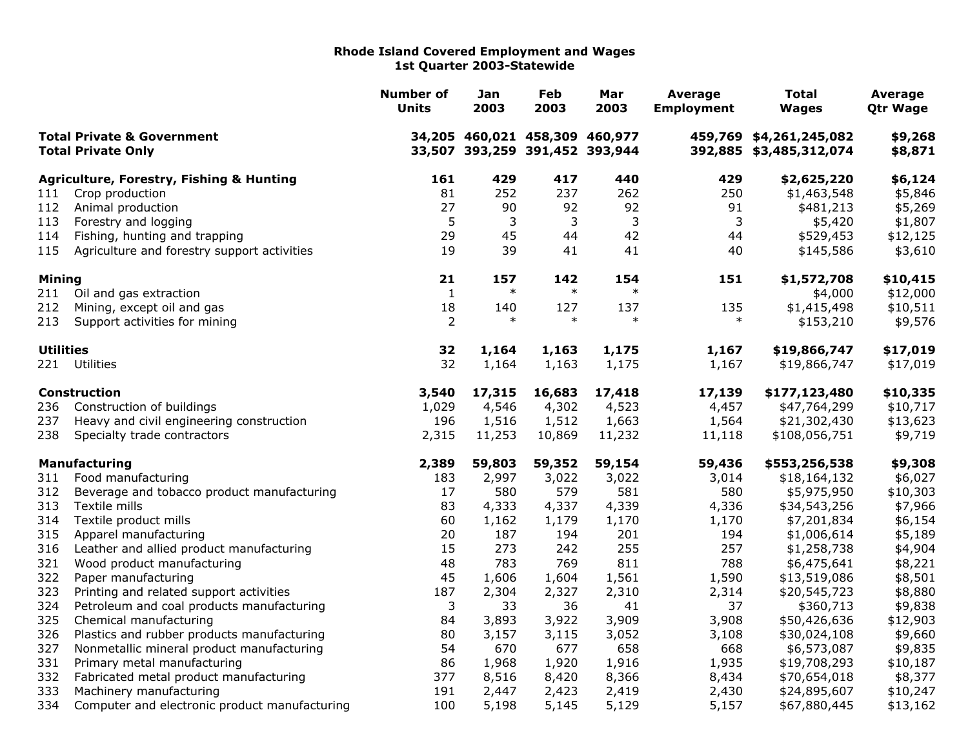|                                                                    |                                                     | <b>Number of</b><br><b>Units</b> | Jan<br>2003                    | Feb<br>2003 | Mar<br>2003                    | Average<br><b>Employment</b> | Total<br><b>Wages</b>                              | Average<br><b>Qtr Wage</b> |
|--------------------------------------------------------------------|-----------------------------------------------------|----------------------------------|--------------------------------|-------------|--------------------------------|------------------------------|----------------------------------------------------|----------------------------|
| <b>Total Private &amp; Government</b><br><b>Total Private Only</b> |                                                     |                                  | 34,205 460,021 458,309 460,977 |             | 33,507 393,259 391,452 393,944 |                              | 459,769 \$4,261,245,082<br>392,885 \$3,485,312,074 | \$9,268<br>\$8,871         |
|                                                                    | <b>Agriculture, Forestry, Fishing &amp; Hunting</b> | 161                              | 429                            | 417         | 440                            | 429                          | \$2,625,220                                        | \$6,124                    |
| 111                                                                | Crop production                                     | 81                               | 252                            | 237         | 262                            | 250                          | \$1,463,548                                        | \$5,846                    |
| 112                                                                | Animal production                                   | 27                               | 90                             | 92          | 92                             | 91                           | \$481,213                                          | \$5,269                    |
| 113                                                                | Forestry and logging                                | 5                                | 3                              | 3           | 3                              | 3                            | \$5,420                                            | \$1,807                    |
| 114                                                                | Fishing, hunting and trapping                       | 29                               | 45                             | 44          | 42                             | 44                           | \$529,453                                          | \$12,125                   |
| 115                                                                | Agriculture and forestry support activities         | 19                               | 39                             | 41          | 41                             | 40                           | \$145,586                                          | \$3,610                    |
| <b>Mining</b>                                                      |                                                     | 21                               | 157                            | 142         | 154                            | 151                          | \$1,572,708                                        | \$10,415                   |
| 211                                                                | Oil and gas extraction                              | $\mathbf{1}$                     | $\ast$                         | $\ast$      | $\ast$                         |                              | \$4,000                                            | \$12,000                   |
| 212                                                                | Mining, except oil and gas                          | 18                               | 140                            | 127         | 137                            | 135                          | \$1,415,498                                        | \$10,511                   |
| 213                                                                | Support activities for mining                       | $\overline{2}$                   | $\ast$                         | $\ast$      | $\ast$                         | $\ast$                       | \$153,210                                          | \$9,576                    |
| <b>Utilities</b>                                                   |                                                     | 32                               | 1,164                          | 1,163       | 1,175                          | 1,167                        | \$19,866,747                                       | \$17,019                   |
| 221                                                                | Utilities                                           | 32                               | 1,164                          | 1,163       | 1,175                          | 1,167                        | \$19,866,747                                       | \$17,019                   |
|                                                                    | <b>Construction</b>                                 | 3,540                            | 17,315                         | 16,683      | 17,418                         | 17,139                       | \$177,123,480                                      | \$10,335                   |
| 236                                                                | Construction of buildings                           | 1,029                            | 4,546                          | 4,302       | 4,523                          | 4,457                        | \$47,764,299                                       | \$10,717                   |
| 237                                                                | Heavy and civil engineering construction            | 196                              | 1,516                          | 1,512       | 1,663                          | 1,564                        | \$21,302,430                                       | \$13,623                   |
| 238                                                                | Specialty trade contractors                         | 2,315                            | 11,253                         | 10,869      | 11,232                         | 11,118                       | \$108,056,751                                      | \$9,719                    |
|                                                                    | Manufacturing                                       | 2,389                            | 59,803                         | 59,352      | 59,154                         | 59,436                       | \$553,256,538                                      | \$9,308                    |
| 311                                                                | Food manufacturing                                  | 183                              | 2,997                          | 3,022       | 3,022                          | 3,014                        | \$18,164,132                                       | \$6,027                    |
| 312                                                                | Beverage and tobacco product manufacturing          | 17                               | 580                            | 579         | 581                            | 580                          | \$5,975,950                                        | \$10,303                   |
| 313                                                                | Textile mills                                       | 83                               | 4,333                          | 4,337       | 4,339                          | 4,336                        | \$34,543,256                                       | \$7,966                    |
| 314                                                                | Textile product mills                               | 60                               | 1,162                          | 1,179       | 1,170                          | 1,170                        | \$7,201,834                                        | \$6,154                    |
| 315                                                                | Apparel manufacturing                               | 20                               | 187                            | 194         | 201                            | 194                          | \$1,006,614                                        | \$5,189                    |
| 316                                                                | Leather and allied product manufacturing            | 15                               | 273                            | 242         | 255                            | 257                          | \$1,258,738                                        | \$4,904                    |
| 321                                                                | Wood product manufacturing                          | 48                               | 783                            | 769         | 811                            | 788                          | \$6,475,641                                        | \$8,221                    |
| 322                                                                | Paper manufacturing                                 | 45                               | 1,606                          | 1,604       | 1,561                          | 1,590                        | \$13,519,086                                       | \$8,501                    |
| 323                                                                | Printing and related support activities             | 187                              | 2,304                          | 2,327       | 2,310                          | 2,314                        | \$20,545,723                                       | \$8,880                    |
| 324                                                                | Petroleum and coal products manufacturing           | 3                                | 33                             | 36          | 41                             | 37                           | \$360,713                                          | \$9,838                    |
| 325                                                                | Chemical manufacturing                              | 84                               | 3,893                          | 3,922       | 3,909                          | 3,908                        | \$50,426,636                                       | \$12,903                   |
| 326                                                                | Plastics and rubber products manufacturing          | 80                               | 3,157                          | 3,115       | 3,052                          | 3,108                        | \$30,024,108                                       | \$9,660                    |
| 327                                                                | Nonmetallic mineral product manufacturing           | 54                               | 670                            | 677         | 658                            | 668                          | \$6,573,087                                        | \$9,835                    |
| 331                                                                | Primary metal manufacturing                         | 86                               | 1,968                          | 1,920       | 1,916                          | 1,935                        | \$19,708,293                                       | \$10,187                   |
| 332                                                                | Fabricated metal product manufacturing              | 377                              | 8,516                          | 8,420       | 8,366                          | 8,434                        | \$70,654,018                                       | \$8,377                    |
| 333                                                                | Machinery manufacturing                             | 191                              | 2,447                          | 2,423       | 2,419                          | 2,430                        | \$24,895,607                                       | \$10,247                   |
| 334                                                                | Computer and electronic product manufacturing       | 100                              | 5,198                          | 5,145       | 5,129                          | 5,157                        | \$67,880,445                                       | \$13,162                   |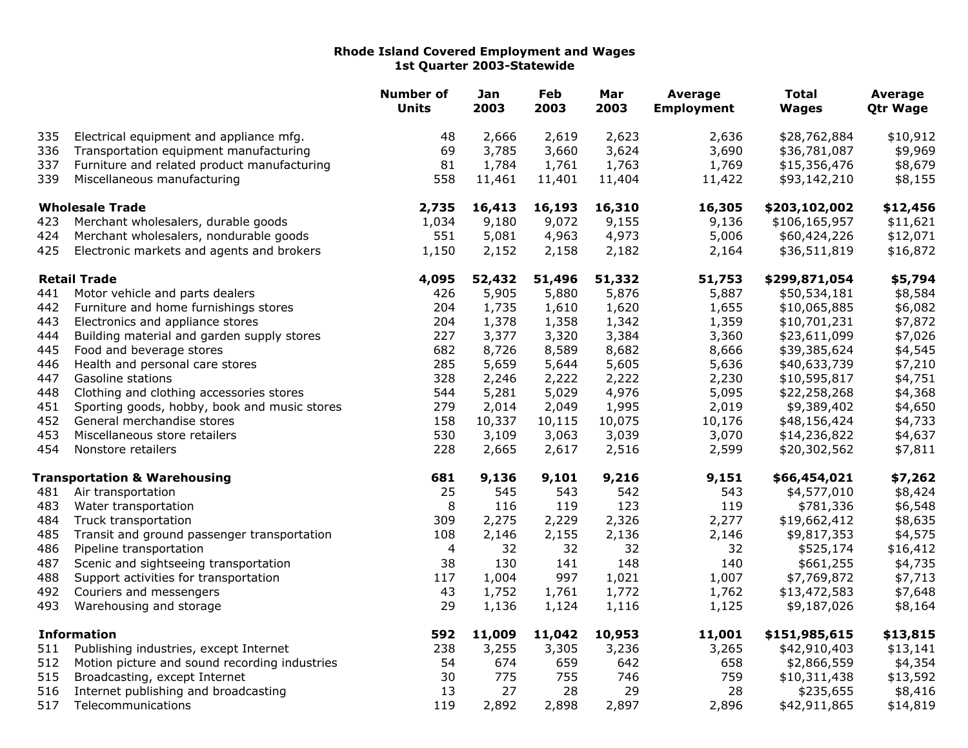|                    |                                               | <b>Number of</b><br><b>Units</b> | Jan<br>2003 | Feb<br>2003 | Mar<br>2003 | <b>Average</b><br><b>Employment</b> | <b>Total</b><br><b>Wages</b> | Average<br><b>Qtr Wage</b> |
|--------------------|-----------------------------------------------|----------------------------------|-------------|-------------|-------------|-------------------------------------|------------------------------|----------------------------|
| 335                | Electrical equipment and appliance mfg.       | 48                               | 2,666       | 2,619       | 2,623       | 2,636                               | \$28,762,884                 | \$10,912                   |
| 336                | Transportation equipment manufacturing        | 69                               | 3,785       | 3,660       | 3,624       | 3,690                               | \$36,781,087                 | \$9,969                    |
| 337                | Furniture and related product manufacturing   | 81                               | 1,784       | 1,761       | 1,763       | 1,769                               | \$15,356,476                 | \$8,679                    |
| 339                | Miscellaneous manufacturing                   | 558                              | 11,461      | 11,401      | 11,404      | 11,422                              | \$93,142,210                 | \$8,155                    |
|                    | <b>Wholesale Trade</b>                        | 2,735                            | 16,413      | 16,193      | 16,310      | 16,305                              | \$203,102,002                | \$12,456                   |
| 423                | Merchant wholesalers, durable goods           | 1,034                            | 9,180       | 9,072       | 9,155       | 9,136                               | \$106,165,957                | \$11,621                   |
| 424                | Merchant wholesalers, nondurable goods        | 551                              | 5,081       | 4,963       | 4,973       | 5,006                               | \$60,424,226                 | \$12,071                   |
| 425                | Electronic markets and agents and brokers     | 1,150                            | 2,152       | 2,158       | 2,182       | 2,164                               | \$36,511,819                 | \$16,872                   |
|                    | <b>Retail Trade</b>                           | 4,095                            | 52,432      | 51,496      | 51,332      | 51,753                              | \$299,871,054                | \$5,794                    |
| 441                | Motor vehicle and parts dealers               | 426                              | 5,905       | 5,880       | 5,876       | 5,887                               | \$50,534,181                 | \$8,584                    |
| 442                | Furniture and home furnishings stores         | 204                              | 1,735       | 1,610       | 1,620       | 1,655                               | \$10,065,885                 | \$6,082                    |
| 443                | Electronics and appliance stores              | 204                              | 1,378       | 1,358       | 1,342       | 1,359                               | \$10,701,231                 | \$7,872                    |
| 444                | Building material and garden supply stores    | 227                              | 3,377       | 3,320       | 3,384       | 3,360                               | \$23,611,099                 | \$7,026                    |
| 445                | Food and beverage stores                      | 682                              | 8,726       | 8,589       | 8,682       | 8,666                               | \$39,385,624                 | \$4,545                    |
| 446                | Health and personal care stores               | 285                              | 5,659       | 5,644       | 5,605       | 5,636                               | \$40,633,739                 | \$7,210                    |
| 447                | Gasoline stations                             | 328                              | 2,246       | 2,222       | 2,222       | 2,230                               | \$10,595,817                 | \$4,751                    |
| 448                | Clothing and clothing accessories stores      | 544                              | 5,281       | 5,029       | 4,976       | 5,095                               | \$22,258,268                 | \$4,368                    |
| 451                | Sporting goods, hobby, book and music stores  | 279                              | 2,014       | 2,049       | 1,995       | 2,019                               | \$9,389,402                  | \$4,650                    |
| 452                | General merchandise stores                    | 158                              | 10,337      | 10,115      | 10,075      | 10,176                              | \$48,156,424                 | \$4,733                    |
| 453                | Miscellaneous store retailers                 | 530                              | 3,109       | 3,063       | 3,039       | 3,070                               | \$14,236,822                 | \$4,637                    |
| 454                | Nonstore retailers                            | 228                              | 2,665       | 2,617       | 2,516       | 2,599                               | \$20,302,562                 | \$7,811                    |
|                    | <b>Transportation &amp; Warehousing</b>       | 681                              | 9,136       | 9,101       | 9,216       | 9,151                               | \$66,454,021                 | \$7,262                    |
| 481                | Air transportation                            | 25                               | 545         | 543         | 542         | 543                                 | \$4,577,010                  | \$8,424                    |
| 483                | Water transportation                          | 8                                | 116         | 119         | 123         | 119                                 | \$781,336                    | \$6,548                    |
| 484                | Truck transportation                          | 309                              | 2,275       | 2,229       | 2,326       | 2,277                               | \$19,662,412                 | \$8,635                    |
| 485                | Transit and ground passenger transportation   | 108                              | 2,146       | 2,155       | 2,136       | 2,146                               | \$9,817,353                  | \$4,575                    |
| 486                | Pipeline transportation                       | 4                                | 32          | 32          | 32          | 32                                  | \$525,174                    | \$16,412                   |
| 487                | Scenic and sightseeing transportation         | 38                               | 130         | 141         | 148         | 140                                 | \$661,255                    | \$4,735                    |
| 488                | Support activities for transportation         | 117                              | 1,004       | 997         | 1,021       | 1,007                               | \$7,769,872                  | \$7,713                    |
| 492                | Couriers and messengers                       | 43                               | 1,752       | 1,761       | 1,772       | 1,762                               | \$13,472,583                 | \$7,648                    |
| 493                | Warehousing and storage                       | 29                               | 1,136       | 1,124       | 1,116       | 1,125                               | \$9,187,026                  | \$8,164                    |
| <b>Information</b> |                                               | 592                              | 11,009      | 11,042      | 10,953      | 11,001                              | \$151,985,615                | \$13,815                   |
| 511                | Publishing industries, except Internet        | 238                              | 3,255       | 3,305       | 3,236       | 3,265                               | \$42,910,403                 | \$13,141                   |
| 512                | Motion picture and sound recording industries | 54                               | 674         | 659         | 642         | 658                                 | \$2,866,559                  | \$4,354                    |
| 515                | Broadcasting, except Internet                 | 30                               | 775         | 755         | 746         | 759                                 | \$10,311,438                 | \$13,592                   |
| 516                | Internet publishing and broadcasting          | 13                               | 27          | 28          | 29          | 28                                  | \$235,655                    | \$8,416                    |
| 517                | Telecommunications                            | 119                              | 2,892       | 2,898       | 2,897       | 2,896                               | \$42,911,865                 | \$14,819                   |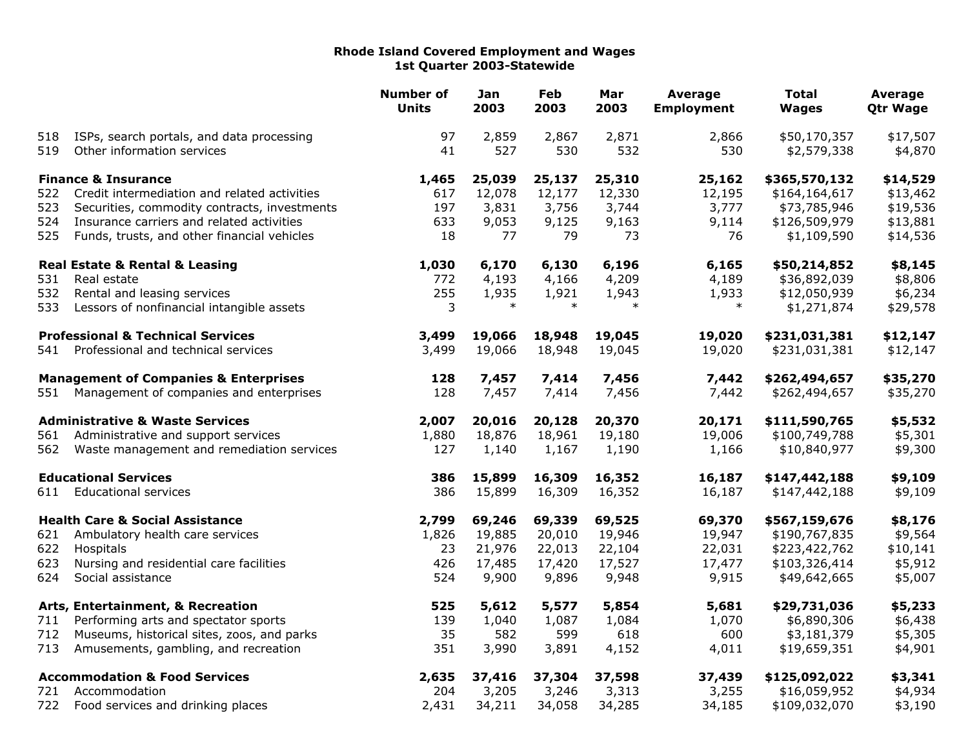|                             |                                                  | <b>Number of</b><br><b>Units</b> | Jan<br>2003 | Feb<br>2003 | Mar<br>2003 | <b>Average</b><br><b>Employment</b> | <b>Total</b><br><b>Wages</b> | Average<br><b>Qtr Wage</b> |
|-----------------------------|--------------------------------------------------|----------------------------------|-------------|-------------|-------------|-------------------------------------|------------------------------|----------------------------|
| 518                         | ISPs, search portals, and data processing        | 97                               | 2,859       | 2,867       | 2,871       | 2,866                               | \$50,170,357                 | \$17,507                   |
| 519                         | Other information services                       | 41                               | 527         | 530         | 532         | 530                                 | \$2,579,338                  | \$4,870                    |
|                             | <b>Finance &amp; Insurance</b>                   | 1,465                            | 25,039      | 25,137      | 25,310      | 25,162                              | \$365,570,132                | \$14,529                   |
| 522                         | Credit intermediation and related activities     | 617                              | 12,078      | 12,177      | 12,330      | 12,195                              | \$164,164,617                | \$13,462                   |
| 523                         | Securities, commodity contracts, investments     | 197                              | 3,831       | 3,756       | 3,744       | 3,777                               | \$73,785,946                 | \$19,536                   |
| 524                         | Insurance carriers and related activities        | 633                              | 9,053       | 9,125       | 9,163       | 9,114                               | \$126,509,979                | \$13,881                   |
| 525                         | Funds, trusts, and other financial vehicles      | 18                               | 77          | 79          | 73          | 76                                  | \$1,109,590                  | \$14,536                   |
|                             | <b>Real Estate &amp; Rental &amp; Leasing</b>    | 1,030                            | 6,170       | 6,130       | 6,196       | 6,165                               | \$50,214,852                 | \$8,145                    |
| 531                         | Real estate                                      | 772                              | 4,193       | 4,166       | 4,209       | 4,189                               | \$36,892,039                 | \$8,806                    |
| 532                         | Rental and leasing services                      | 255                              | 1,935       | 1,921       | 1,943       | 1,933                               | \$12,050,939                 | \$6,234                    |
| 533                         | Lessors of nonfinancial intangible assets        | 3                                | $\ast$      | $\ast$      | $\ast$      | $\ast$                              | \$1,271,874                  | \$29,578                   |
|                             | <b>Professional &amp; Technical Services</b>     | 3,499                            | 19,066      | 18,948      | 19,045      | 19,020                              | \$231,031,381                | \$12,147                   |
| 541                         | Professional and technical services              | 3,499                            | 19,066      | 18,948      | 19,045      | 19,020                              | \$231,031,381                | \$12,147                   |
|                             | <b>Management of Companies &amp; Enterprises</b> | 128                              | 7,457       | 7,414       | 7,456       | 7,442                               | \$262,494,657                | \$35,270                   |
| 551                         | Management of companies and enterprises          | 128                              | 7,457       | 7,414       | 7,456       | 7,442                               | \$262,494,657                | \$35,270                   |
|                             | <b>Administrative &amp; Waste Services</b>       | 2,007                            | 20,016      | 20,128      | 20,370      | 20,171                              | \$111,590,765                | \$5,532                    |
| 561                         | Administrative and support services              | 1,880                            | 18,876      | 18,961      | 19,180      | 19,006                              | \$100,749,788                | \$5,301                    |
| 562                         | Waste management and remediation services        | 127                              | 1,140       | 1,167       | 1,190       | 1,166                               | \$10,840,977                 | \$9,300                    |
| <b>Educational Services</b> |                                                  | 386                              | 15,899      | 16,309      | 16,352      | 16,187                              | \$147,442,188                | \$9,109                    |
| 611                         | <b>Educational services</b>                      | 386                              | 15,899      | 16,309      | 16,352      | 16,187                              | \$147,442,188                | \$9,109                    |
|                             | <b>Health Care &amp; Social Assistance</b>       | 2,799                            | 69,246      | 69,339      | 69,525      | 69,370                              | \$567,159,676                | \$8,176                    |
| 621                         | Ambulatory health care services                  | 1,826                            | 19,885      | 20,010      | 19,946      | 19,947                              | \$190,767,835                | \$9,564                    |
| 622                         | Hospitals                                        | 23                               | 21,976      | 22,013      | 22,104      | 22,031                              | \$223,422,762                | \$10,141                   |
| 623                         | Nursing and residential care facilities          | 426                              | 17,485      | 17,420      | 17,527      | 17,477                              | \$103,326,414                | \$5,912                    |
| 624                         | Social assistance                                | 524                              | 9,900       | 9,896       | 9,948       | 9,915                               | \$49,642,665                 | \$5,007                    |
|                             | Arts, Entertainment, & Recreation                | 525                              | 5,612       | 5,577       | 5,854       | 5,681                               | \$29,731,036                 | \$5,233                    |
| 711                         | Performing arts and spectator sports             | 139                              | 1,040       | 1,087       | 1,084       | 1,070                               | \$6,890,306                  | \$6,438                    |
| 712                         | Museums, historical sites, zoos, and parks       | 35                               | 582         | 599         | 618         | 600                                 | \$3,181,379                  | \$5,305                    |
| 713                         | Amusements, gambling, and recreation             | 351                              | 3,990       | 3,891       | 4,152       | 4,011                               | \$19,659,351                 | \$4,901                    |
|                             | <b>Accommodation &amp; Food Services</b>         | 2,635                            | 37,416      | 37,304      | 37,598      | 37,439                              | \$125,092,022                | \$3,341                    |
| 721                         | Accommodation                                    | 204                              | 3,205       | 3,246       | 3,313       | 3,255                               | \$16,059,952                 | \$4,934                    |
| 722                         | Food services and drinking places                | 2,431                            | 34,211      | 34,058      | 34,285      | 34,185                              | \$109,032,070                | \$3,190                    |